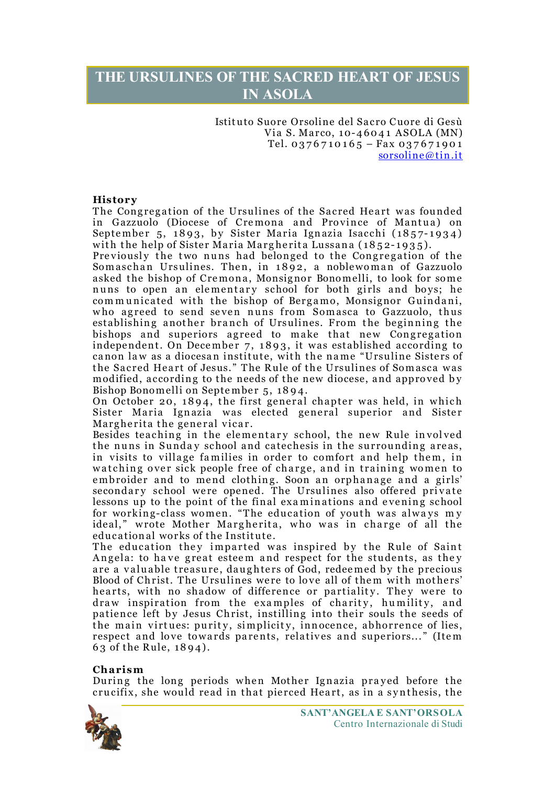# **THE URSULINES OF THE SACRED HEART OF JESUS IN ASOLA**

Istituto Suore Orsoline del Sacro Cuore di Gesù Via S. Marco, 10-46041 ASOLA (MN) Tel. 0376710165 - Fax 037671901 sorsoline@tin.it

# **History**

The Congregation of the Ursulines of the Sacred Heart was founded in Gazzuolo (Diocese of Cre mona and Province of Mantua) on September 5, 1893, by Sister Maria Ignazia Isacchi (1857- 1934) with the help of Sister Maria Margherita Lussana (1852-1935).

Previously the two nuns had belonged to the Congregation of the Somaschan Ursulines. Then, in 1892, a noblewoman of Gazzuolo asked the bishop of Cremona, Monsignor Bonomelli, to look for some nuns to open an elementary school for both girls and boys; he communicated with the bishop of Bergamo, Monsignor Guindani, who agreed to send seven nuns from Somasca to Gazzuolo, thus establishing another branch of Ursulines. From the beginning the bishops and superiors agreed to make that new Congregation independent. On December 7, 1893, it was established according to canon law as a diocesan institute, with the na me "Ursuline Sisters of the Sacred Heart of Jesus." The Rule of the Ursulines of Somasca was modified, according to the needs of the new diocese, and approved by Bishop Bonomelli on September 5, 18 94.

On October 20, 1894, the first general chapter was held, in which Sister Maria Ignazia was elected general superior and Sister Margherita the general vicar.

Besides teaching in the elementary school, the new Rule involved the nuns in Sunday school and catechesis in the surrounding areas, in visits to village families in order to comfort and help them, in watching over sick people free of charge, and in training women to embroider and to mend clothing. Soon an orphanage and a girls' secondary school were opened. The Ursulines also offered private lessons up to the point of the final exa minations and e vening school for working-class women. "The education of youth was always my ideal," wrote Mother Margherita, who was in charge of all the educational works of the Institute.

The education they imparted was inspired by the Rule of Saint Angela: to have great esteem and respect for the students, as they are a valuable treasure, daughters of God, redeemed by the precious Blood of Christ. The Ursulines were to love all of them with mothers' hearts, with no shadow of difference or partiality. They were to draw inspiration from the examples of charity, humility, and patience left by Jesus Christ, instilling into their souls the seeds of the main virtues: purity, simplicity, innocence, abhorrence of lies, respect and love towards parents, relatives and superiors..." (Item 6 3 of the Rule, 1894).

# **Charism**

During the long periods when Mother Ignazia prayed before the crucifix, she would read in that pierced Heart, as in a synthesis, the